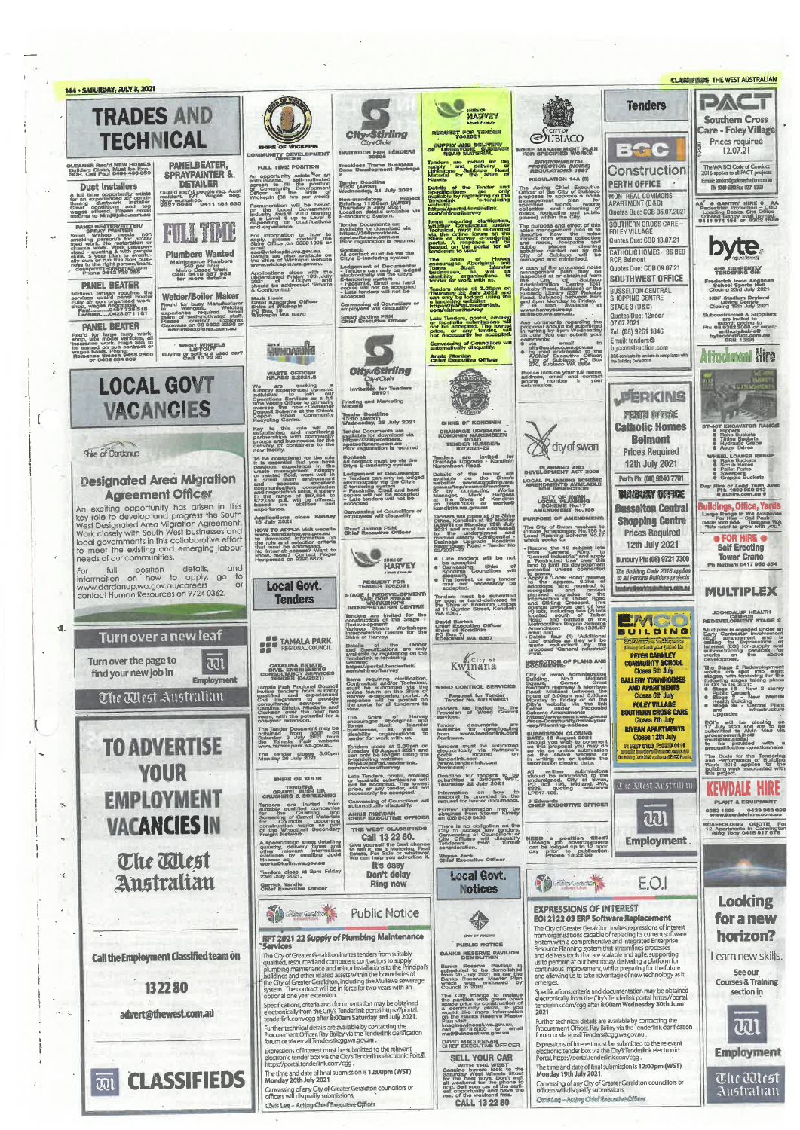**CLASSIFIEDS THE WEST AUSTRALIAN** 144 - SATURDAY, JULY 3, 2021 **EXK Tenders TRADES AND** MARVEY **Southern Cross** Care - Foley Village REQUEST FOR TENDER City-Stirling SUBIACO **TECHNICAL** Prices required UPPLY AND DELIVERY<br>LINIESTONE SUBBAS Baic **OISE MANAGEMENT PLAN** 12.07.21 INVITATION FOR TÊNE **VITY DEVELO PANELBEATER, Trackless Trams Susiness**<br>Case Development Packac **ENVIRONMENTAL**<br>PROTECTION (NOISE) FULL TIME POSIT The WA BCI Code of Conduct<br>7016 anolies to all PACT project CLEANER Reg'd NRW HOMES<br>Builders Clean, Must be Exp.<br>Builders Cell Paul 0404 466 859 Construction SPRAYPAINTER & opportunity exists the<br>ursastic, self-motive<br>son to fill the post<br>Community Developin<br>ser at the Shire<br>kepin (38 hrs per w GUILATION 14A (8 mail: landers@packonstruction.com<br>Pie: 9300 5000 Fact 9301 8360 **Tender Deadline<br>13:00 (AWST)**<br>13:00 (AWST)<br>21 July 2021 **DETAILER PERTH OFFICE Duct Installers** resources the City of Subjective<br>Cificar of the City of Subject<br>proposes to approve a noise<br>granagement plan<br>granagement plan<br>granagement collection and calendary<br>collection and cleaning of<br>places) within the City. — Уманы II<br>exp'd people req. Aust<br>ht. F/T. Wages neg.<br>orkshop.<br>ISSB 04-11 181 630 the Tender and<br>are only<br>registering on the<br>chandering as also interactive oriental<br>A full time opportunity exists<br>for an experimented all conditions<br>formal ductwork and top<br>Great conditions and top<br>wages offered. Presse employees MONTREAL COMMONS mandatory<br>**Fing 11:30am (AWST)**<br>eday 8 July 2021<br>tion details available<br>doring System. AA<sup>C</sup> **S CANTRY HIRE & AA**<br>Pedestrian Protoction - CBD<br>Loading Docks, Site Office<br>07head Ganthy avail Immed.<br>0411 071 155 or 9302 1880 **New w** ration will be based<br>Local Government<br>Award 2010 starting<br>wel 4 up to Level is ://portal.tunde Quotes Due: COB 06.07.2021 SOUTHERN CROSS CARErequiring cla<br>er Contractus<br>ical, must be praces) within the City-<br>
The purpose and effect of this<br>
incide management plan is to<br>
impact from waste collection<br>
and roads, footpaths and PANEL BEATER/HTTER **FILL TIME** nts are<br>voload via FOLEY VILLAGE Small who needs<br>and the presents for any model and modify the small means of<br>and work. We consider the present of the present present<br>small and the present of the present present present<br>and the present of the present of t providera.<br>Ire.com.au. nor nformation on how to<br>please contact the<br>Office on 9888 1005 or For<br>원만 **Duples Due: COR 13 07 21** in<br>b byte. and roads, tootpaths<br>public places clear<br>activities carried out by<br>City of Subkapo will<br>managed and minimized. CATHOLIC HOMES - 96 BED **Plumbers Wanted** Contact:<br>All contact must be via the<br>City's E-tendering system  $rac{or}{f}$ ventaria<br>Ozila en<br>Inflat CATHOLIC HUMES - 96 BE<br>RCF, Belmont<br>Quotes Due: COB 09.07.21 Shire of<br>Burages Aborigi Cry of the proposed<br>A copy of the proposed<br>management plan management<br>inspected to distant of the state<br>of the control of the state of the state of Maintenance Plumbers<br>
1940 per hour<br>
Celli: 0419 887<br>
for more details Lodgement of Documents<br>- Tenders can only be lodge<br>- Tenders can only be lodge<br>E-tendering system<br>- Facelinife, Email and hard<br>cooles will not be accepted<br>- Little tenders will not be<br>- Little tenders will not be ARE CURRENTLY lications close with the<br>ersigned Friday 16th Juli<br>Ind to addressed Private<br>Ind to addressed Private 管理 pusinesses, as well<br>disability organizations<br>tender for work with us. SOUTHWEST OFFICE ministration Centre<br>Reby Road, Subiaco or the<br>Blace Library (237 Rotes)<br>ad, Subiaco or the Bad, Subiaco or the<br>ad, Subiaco or the Piday.<br>Is also available **DAMEL REATER** rederlok Irwin Anglica<br>School Sports Halt<br>Closino 23rd July 2021 BUSSELTON CENTRAL<br>SHOPPING CENTRE -<br>STAGE 3 (D&C) Tenders close at 3.00pm on<br>Thursday 22 July 2021 and<br>can only be lodged using the reutain beheving the countries the<br>local change panel beater<br>local quality panel beater<br>by wages negotiable.<br>achian.....0422 571 181 Welder/Rojler Maker Mark Hook<br>Chief Executive Of<br>Shire of Wickepin<br>PG Box 19<br>Wickepin WA 6370 **TECHET DUITS Manufacture**<br>
Rec for busy Manufacture<br>
in general staff<br>
in general staff<br>
in general staff<br>
Dease<br>
Camin@explores.com.au<br>
Camin@explores.com.au<br>
admin@explores.com.au **(B)F Stadium Drylend**<br>Diving Centre<br>Josing 19th July 2021 Canvassing of Councillors of also ava<br>wayoursay. Subcontractors  $\&$  Suppliers<br>are invited to<br> $p_{\rm int}$  submit priori as  $\frac{1}{2}$ <br> $p_{\rm int}$  as  $\frac{1}{2}$ <br> $p_{\rm int}$  are internal beam on<br> $\&$ **Stuart Jardine PSM**<br>Chief Executive Officer **Quotes Due: 12noon**<br>07.07.2021 Late Tenders, postsi, emisier<br>or faceimile submissions will<br>not be accepted. The fowns<br>price, or any tender, will<br>not necessarily be accepted Any comments regarding the proposal should be submitted as a submitted as a submitted as a submit year. **OAMEL REATER** Tel: (08) 9261 1846 anthony.com<br>byteconstruct.com<br>BRN: 13891 g'd for large busy work-<br>pp, late model vehicles, all<br>urance work. Huge \$\$\$ to<br>urance work. Huge \$\$\$ to<br>uge basis, Phone:<br>smanus Smaah \$455 2500<br>or 0409 634 669 Email: tenders@<br>bgcconstruction.com mmembs: email to<br>offy@aubiaco.we.gov.au<br>offy@aubiaco.we.gov.au<br>A/Chief Executive Officer,<br>City of Subiaco.we.gov<br>270, Subiaco WA 6904 WEST WHERLS<br>LIFTOUT<br>Buying or solling a used car?<br>Call 13 22 80 Canvassing of Councillors<br>automatically disquality. **Differenting**  $\Box$ **Attachment Hire Annie Rierdan**<br>Chief Executive Officer **BGC conducts its tender CHy Stirling** Please include your full name,<br>address, email and contact<br>phone number in your **READER** WASTE OFFICER City of Choice<br>City of Choice<br>20101 **LOCAL GOVT** We are seeking a<br>suitably experienced dynamic<br>individual to join our<br>doperations Services as a full<br>time Waste Gifticer to primarily<br>coppeint Scheme at the Shire's<br>Deposit Scheme at the Shire's<br>Especific Centre. **PERKINS Printing and Marketing** be the new Core<br>st Scheme at the<br>n Road Con<br>fing Centre **VACANCIES** rie **PERTH OFFICE** Tender Deadline<br>13:00 (AWST)<br>Wednesday, 28 July 2021 .<br>HE OF KOI **LOT EXCAVATOR R**<br> **C** Rake Buckets<br> **C** Rake Buckets<br> **C** Playdraulic Grabs<br> **C** Auger Drives **Catholic Homes** Key to this mie<br>establishing and m<br>nartnerships with co will b nder Documents are<br>allable for download via<br>tps://360providers...<br>veter/were.com.au.<br>in: molatration is require DRAINAGE UPGRADE -<br>KONDININ NAREMBEEN Ralmont ommunit<br>es for th ps and bus<br>very of cor **ROAD**<br>TENDER NUMBER: dty of swan Shire of Dardanup **Prices Required** WHEEL LOADER RA To be considered for the it<br>previous experience in<br>previous experience in<br>waste management industry<br>or naided field, work well<br>a small team environment Tenders are invited<br>Drainage Upgrade - Kor<br>Narembeen Road. Contact:<br>All contact must be via the<br>City's E-tendering system 12th July 2021 PLANNING AND Ledgement of Documents<br>- Tenders can only be looger<br>E-tendering wis the City's<br>E-tendering system<br>- Facsimite, Email and hard<br>copies will not be accepted<br>acceptar nder<br>Sh of the terms<br>on the<br>www.kom **Designated Area Migration** Perth Ph: (08) 9240 7701 LOCAL PLANNING SCHEME<br>AMENDMENTS AVAILABLE<br>FOR INSPECTION and possess exceller<br>communication skills Assistant<br>and negotiation skills Assistant<br>572,099 p.a. will be offered<br>based on abilities and **Hire or Long Term**<br>PH: 1300 059 613<br>**Company Agreement Officer BARKBURY OFFICE** Burget **CITY OF SWAN<br>LOCAL PLANNING<br>SCHEME No.17<br>MENDINENT No.11** nager, Mark<br>the Shire of<br>98891006 or An exciting opportunity has a<br>single profile in this key role to develop and progress the South West Designated Area Migration Agreement.<br>Work closely with South West businesses and local governments in this collaborative uildings, Office, Ya **Busselton Central** Canyassing of Councillors or in WA Ave<br>- Call Pau<br>4 Toocar<br>*grow with* Applications alose Su<br>18 July 2021 Large Range in 1<br>Por Hira - 0<br>0408 926 684<br>Twe want to gro ers will close at the Shir<br>», Kondinin at 12 Mildda<br>11) on Monday 19th Jul **RPOSE OF AMENI Shopping Centre** e City of Swan resolved to<br>date Amendment No.198 to<br>cal Planning Scheme No.17<br>ich seeks for HOW TO APPLY: Visit website<br>www.mundaring.we.gov.aki<br>to download information on<br>the role and selection criteria<br>that must be addressed, in the<br>No internet access? Want to<br>know.more? Contact Pocast<br>Haripersad on 9290 6873. **Stuart Jardine PSM**<br>Chief Executive Officer **Prices Required** ned ar<br>mildential<br>Kondin undersig<br>Isarly 'Co<br>In Road -• FOR HIRE •<br>Self Erecting 12th July 2021 ern was the 12 subject lots<br>care the 12 subject lots<br>can "General Rural" to<br>"Restricted the over this<br>nd to limit its development<br>tential unless connected HARVEY **Bunbury Ph: (08) 9721 7300** Tower Crane **Cate tenders will be not**<br> **e** be accopted<br> **e** Canyasaing Shire<br>
Kondinin Councillors will For full position details, a<br>information on how to apply, go<br>www.dardanup.wa.gov.au/careers<br>contact Human Resources on 9724 0362. and menterial unions continues continues and the second continues and the second continues and the menterial continues and the menterial continues and the menterial continues and the menterial continues and continues are the m The Building Code 2016 applies<br>to all Perkins Builders projects  $\frac{d \log q}{d \log q}$ ,<br>hst, or any tender<br>the cossarily be REQUEST FOR **Local Govt.** tentery@serkteabships.com.co **MULTIPLEX** GE 1 REDEVELOPM must be<br>or hand-d<br>o of Kondi **Tenders** JOONDALUP HEALTH<br>CAMPUS<br>EDEVELOPMENT STAGE nders are invited for the<br>nstruction of the Stage 1 EMC David Burton<br>Chief Executive Of<br>Shire of Kondinin<br>PO Box 7, .... Redevelopment:<br>Yarloop Steam<br>Interpretation Centre for the<br>Shire of Harvey.  $\mathbf{d}$ Numerican<br>
American four (4) Additional<br>
Delete four (4) Additional<br>
Dise entries as they will be<br>
the redundant left states BUILDING Multiplex is engaged unde<br>Early Contractor Invelvent<br>(ECI) arrangement and Turn over a new leaf Communications are<br>g for Expressions of<br>lest (EOI) for supply and<br>contracting services for<br>on the above **TAMALA PARK** WA 6367 Syboon had Details of the Tender<br>and Specifications are only<br>available by registering on the<br>Tenderlink e-tendering  $\frac{max}{|1|}$ PETER CARNLEY<br>COMMUNITY SCHOOL<br>Closes 5th July Kwinana Turn over the page to au INSPECTION OF PLANS AND CATALINA ESTATI<br>CIVIL ENGINEERING<br>NSULTANCY SERVICES<br>NSUGER (04/2021) website:<br>https://portal.tenderlink/<br>com/shireofharvey Document as Administration<br>Squiding, No.2<br>Square, Corner Great<br>Square, Corner Great<br>Nedriven Highway & Morrison<br>Read, Midland between the<br>Noting of Bridge of the Spitter Strip's website via the Bridge<br>Scheme American Spitt find your new job in tioms requiring clarification,<br>Contractual and/or Technical,<br>must be submitted via the<br>colline forum on the Shire of<br>Harvey e-tendering portal. A<br>response will be posted on<br>the portal for all tenderers to<br>view. **CALLERY TOWNHOUSES**<br>**AND APARTMENTS**<br>Closes 6th July Employment Tamala Park Rogional Council<br>Tamala Park Rogional Council<br>Invites and September 2011<br>Council Council Council Council Council<br>Consultancy<br>Council Council Council Council<br>Clarkson fover the park of Council<br>Out Your Council C The Mest Australian Request for Tender<br>Tender No. 691KWN21 **POLEY VILLAGE<br>SOUTHERN CROSS CARE**<br>Closes 7th July Tenders are invited for the<br>Provision of Weed Combri view.<br>The Shire of Handle<br>Promes Strait Isla<br>Dimestrate, as well<br>disability organisations<br>tender for work with us. , /www.swan.wa.<br>Community/Have<br>Hanning-notioes Upyre and the closing on<br>
ECI's will be closing on<br>
17 July 2021 and are to be<br>
submitted to Alvin Mac vis<br>
procurement, it of the provided<br>
to be provided with<br>
to be provided with<br>
prequalification questionnaire Tender documents are<br>available for downloading<br>from www.tenderlink.com<br>/kwinsna. -say/Planning-nouses<br>guantission CLOSINO<br>DATE: 16 August 2021<br>on this proposal you may come<br>on this proposal you may come<br>of the an orithm submission in<br>submission coloning data. **RIVEAN APARTMENTS**<br>Closes 12th July<br>P. Banz ones Reasons 14th The Tender Document may be<br>obtained from noon on<br>Saturday 3 July 2021 from<br>the Tamala Park website<br>website website ᅄ **TO ADVERTISE** ers close at 3,00pm on<br>day 10 August 2021 and<br>only be lodged using the<br>idention website: **Jers must be submitted**<br>tronically via Kwinsna's<br>al The Tender closes 3.00 The Code for the Tenderin<br>and Performance of Buildin<br>Work 2016 applies to the<br>building work associated with<br>this project. rga<br>nderlink.com<br>ww.tenderlink.com rdering website<br>s://portal.tend<br>/shireofharivei **YOUR** All written submissions<br>should be addressed to the<br>undersigned, City of Swan,<br>PO Box 196, Midland, 4WA,<br>6936,<br>LP317-196, Late Tenders, postal, emailed<br>or faceimile submissions with<br>not be accopted. The lowes<br>price, or any tender, will no<br>phoessarity be accepted. Deadline for tenders to be<br>submitted is 2:00pm WST,<br>Thuraday 22 July 2021 **SHIRE OF KULIN** The Mest Australian **KEWDALE HIRE** TENDERS<br>GRAVEL PUSH UP **EMPLOYMENT** Information on how to<br>respond is provided in the<br>request for tender documents. Canvassing of Councillors will **J Edwards<br>CHIEF EXECUTIVE OFFICER ANT & EQUI** ders ere invited<br>heby qualified come<br>the Crushing<br>eening of Gravel we<br>Councils we  $\mathbb{R}$ Further information may be<br>obtained from Steven Kinsey<br>on (08) 9439 0438 0353 1899<br>www.kewdalehtre.com.uru ANNIE RIORDAN<br>CHIEF EXECUTIVE OFFICE 221 **VACANCIES IN** works upcoming<br>atbelt Secondary<br>rork There is no obligation<br>City to accept any<br>Canvassing of Cour<br>City Officers<br>Tonderers from SCAFFOLDING QUOTE Formation of the Campington Ring Teny 0418 917 678 THE WEST CLASS CA NEED a position filled?<br>Lineage job advertisements<br>can be lodged up to 12 noor<br>day prior to publication<br>Phone 13 22 80 **Employment** A specification sheet detailing<br>quantity, delivery times and<br>other relevant information<br>available by emailing Judd Give yourself the best of<br>to sell it. Be it Motoring,<br>Estate, For Sale or what<br>We can help you advert The Alest Wayne Jack It's ARRY Tenders close at 2pm Fr.<br>23rd July 2021. Don't delay **Local Govt.**  $\prec$ Australian **Contractions** F.O.I **Ring now** Garrick Yandle<br>Chief Executive Office **Notices Looking EXPRESSIONS OF INTEREST Contractor**  $\lambda$ **Public Notice** 命 EOI 2122 03 ERP Software Replacement for a new **EVALUATE AT A SUBJEM PROTECT CONSTRANS CONSTRANS FOR A SUBJEMENTIFY The City of Greenleight for the comparison of interest<br>from organisations capable of replacing its current software system with a connectensive and inte** RFT 2021 22 Supply of Plumbing Maintenance horizon? **3-8TVKGS**<br>
The City of Geoater Geraldton invites tenders from suitably<br>
qualified, resourced and competent contractors to supply<br>
plumbing maintenance and minor histalations to the Pimcipal<br>
publidings and other related a **PUBLIC NOTICE** BANKS RESERVE PAVILION Learn new skills. Call the Employment Classified team on Banks Reserve Pavillon te<br>scheduled to be demolished<br>from 20 July 2021 as per the<br>Benks Reserve Master Plan<br>which was<br>Council in 2019. See our Courses & Training Specifications, criteria and documentation may be obtained<br>electronically from the City's Tenderlink portal https://portal.<br>tenderlink.com/cgg after 8:00am Wednesday 30th June<br>2021. 132280 section in The City Intends to replace<br>the pavilion with green open-<br>space prior to construction of<br>a community plaza. If you<br>wuuld like more information<br>on the Banks Reserve Master optional one year extension.<br>Specifications, criteria and documentation may be obtained<br>electronically from the City's fenderlink portal https://portal.<br>tenderlink.com/cgg after 8:00am Saturday 3rd July 2021.  $\mathbb{S}_k$ advert@thewest.com.au zuz :<br>Further technical details are available by contacting the<br>Procurement Officer, Ray Bailey via the Tenderlink clarification<br>forum or via email Tenders@cgg.wa.gov.au . ฉวา Linder technical details are available by contacting the<br>Purcher technical details are available by contacting the<br>Procurement Officer, Ray Bailey via the Tenderlink darification<br>forum or via email Tenders@cgg.wa.gov.au glne.vincent.wa.gov.au, Gran For the stress renders@cgg.wa.gov.au<br>Expressions of interest must be submitted to the relevant<br>electronic tender box via the City's Tenderlink electronic<br>Portal, https://portal.tenderlink.com/cgg<br>-DAVID MACLENNAN Expressions of interest must be submitted to the relevant<br>electronic tender box via the City's Tenderlink electronic Portal<br>https://portal.tenderlink.com/cgg **Employment SELL YOUR CAR** with THE WEST<br>during buyers look to the<br>during West Wheels lifton<br>the best lung, Don't was<br>welcombing and he shaded<br>in Sell your car at the said<br>from the weekend free. The time and date of final submission is 12:00pm (WST)<br>Monday 19th July 2021. The time and date of final submission is 12:00pm (WST)<br>Monday 26th July 2021 **CLASSIFIEDS** The Ullest  $\overline{\mathrm{col}}$ Canvassing of any City of Greater Geraldton councillors of<br>officers will disqualify submissions. Carwassing of any City of Greater Geraldton councillors or<br>officers will discuralify submissions. Australian Chris Log - Acting Chief Executive Offices CALL 13 22 80 Chris Lee - Acting Chref Executive Officer

 $\mathfrak{g}$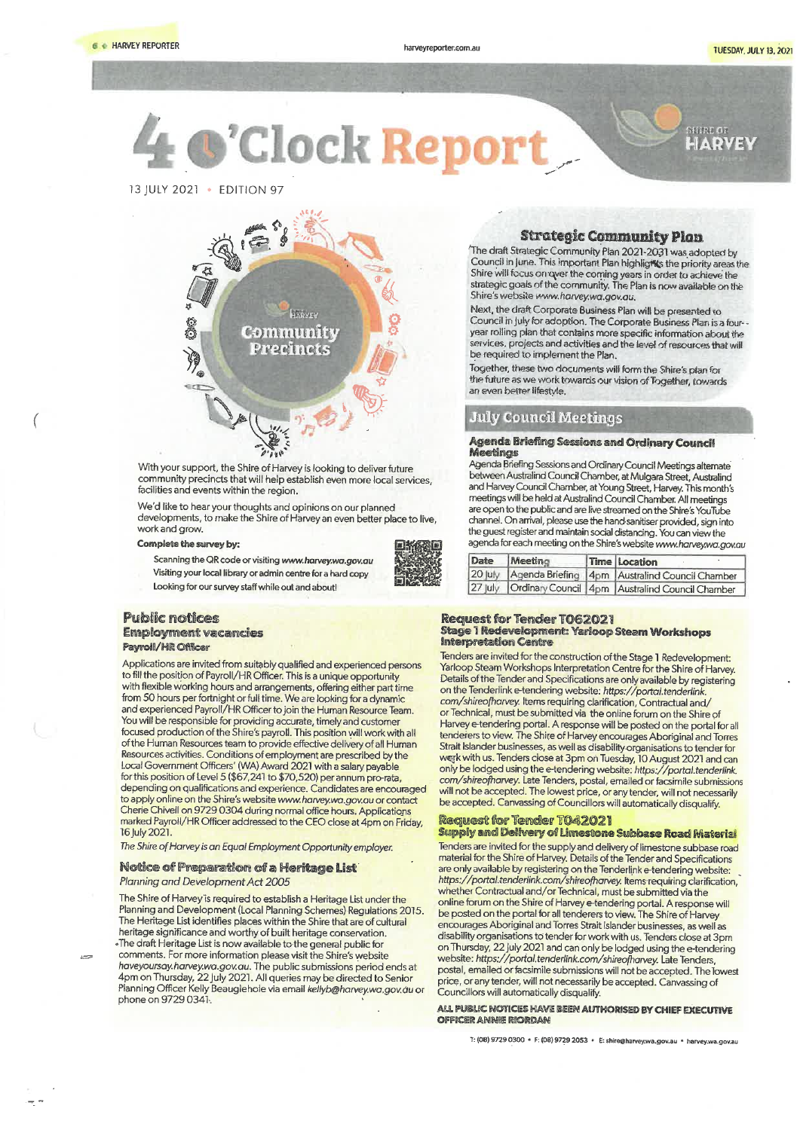**ft • HARVEY REPORTER harveyreporter.com.au** harveyreporter.com.au TUESDAY, JULY 13, 2021

**4**<br>13 JULY 20 **J'Clock Report.** 



With your support, the Shire of Harvey is looking to deliver future community precincts that will help establish even more local services, facilities and events within the region.

We'd like to hear your thoughts and opinions on our planned developments, to make the Shire of Harvey an even better place to live, work and grow.

#### Complete the survey by:

- Scanning the QR code or visiting *www.harvey.wmgay.au*  Visiting your local library or admin centre for a hard copy
- Looking for our survey staff while out and about!

to fill the position of Payroll/HR Officer. This is a unique opportunity betails of the Tender and Specifications are only available by registering<br>with flexible working hours and arrangements, offering either part time on with flexible working hours and arrangements, offering either part time on the Tenderlink e-tendering website: *https://portal.tenderlink*<br>from 50 hours per fortnight or full time. We are looking for a dynamic com/shireofh from 50 hours per fortnight or full time. We are looking for a dynamic *com/shireofharvey.* Items requiring clarification, Contractual and/<br>and experienced Payroll/HR Officer to join the Human Resource Team. **For a state o** and experienced Payroll/HR Officer to join the Human Resource Team. or Technical, must be submitted via the online forum on the Shire of<br>You will be responsible for providing accurate, timely and customer have yetendering You will be responsible for providing accurate, timely and customer Harvey e-tendering portal. A response will be posted on the portal for all<br>Coursed production of the Shire's parteil This position will wad with all focused production of the Shire's payroll. This position yvill work with all tenderers to view. The Shire of Harvey encourages Aboriginal and Torres Focused production of the Shire's payroll. This position will work with all<br>of the Human Resources team to provide effective delivery of all Human<br>Resources activities. Conditions of employment are prescribed by the<br>Local Local Government Officers' (WA)Award 2021 with a salary payable only be lodged using the e-tendering website: *https://portal.tenderlink.*  for this position of Level 5 (\$67,241 to \$70,520) per annum pro-rata, *com/shireofharyey.* Late Tenders, postal, emailed or facsimile submissions depending on qualifications and experience. Candidates are encouraged will not be accepted. The lowest price, or any tender of heavy providence in the submission depending on qualifications and experience. Candidates are e to apply online on the Shire's website www.harvey.wa.gov.au or contact Cherie Chivell on 9729 0304 during normal office hours. Applications marked Payroll/HR Officer addressed to the CEO close at 4pm on Friday, **Request for Tender T042021**<br>16 July 2021. **Supply and Delivery of Limeston** 

 $\approx$ 

Planning and Development (Local Planning Schemes) Regulations 2015. be posted on the portal for all tenderers to view. The Shire of Harvey The Heritage List identifies places within the Shire that are of cultural encourages Aboriginal and Torres Strait Islander businesses, as well as heritage conservation. The incourages Aboriginal and Torres Strait Islander heritage significance and worthy of built heritage conservation, disability organisations to tender for work with us. Tenders close at 3pm and the e-tender for work with us. Tenders close at 3pm and the e-tendering on Thur Ine draft Heritage List is now available to the general public for on Thursday, 22 July 2021 and can only be lodged using the e-tendering<br>Comments. For more information please visit the Shire's website website: https://por comments. For more information please visit the Shire's website<br>haveyoursay.harvey.wa.gov.au. The public submissions period ends at postal, emailed or facsimile submissions will not be accepted. The i *haveyoursay.harvey.wa.gov.au.* The public submissions period ends at postal, emailed or facsimile submissions will not be accepted. The lowest<br>4pm on Thursday, 22 July 2021. All queries may be directed to Senior price, or Planning Officer Kelly Beauglehole via email *kellyb@harvey.wa.gov.au* or phone on 9729 0341,

### Strategic Community Plan

'The draft Strategic Community Plan 2021-2031 was adopted by Council in June. This important Plan highlights the priority areas the Shire will focus on over the coming years in order to achieve the strategic goals of the community. The Plan is now available on the Shire's website www.harvey.wa.gov.au.

Next, the draft Corporate Business Plan will be presented to Council in July for adoption. The Corporate Business Plan is a four year rolling plan that contains more specific information about the services, projects and activities and the level of resources that will be required to implement the Plan.

Together, these two documents will form the Shire's plan for the future as we work towards our vision of Together, towards an even better lifestyle.

## July Council Meetings

#### Agenda Briefing Sessions and Ordinary Council Meetings

Agenda Briefing Sessions and Ordinary Council Meetings alternate between Australind Council Chamber, at Mulgara Street, Australind and Harvey Council Chamber, at Young Street, Harvey This month's meetings will be held at Australind Council Chamber All meetings are open to the public and are live streamed on the Shire's YouTube channel. On arrival, please use the hand sanitiser provided, sign into the guest register and maintain social distancing. You can view the agenda for each meeting on the Shire's website *www.horvey.wagov.au* 

| Date | <i>Meeting</i> | Time Location                                                 |
|------|----------------|---------------------------------------------------------------|
|      |                | 20 July   Agenda Briefing   4pm   Australind Council Chamber  |
|      |                | 27 July   Ordinary Council   4pm   Australind Council Chamber |

# Public n tices Request for Tender Ti 62021 Stage 1 Redevelopment: Yarloop Steam Workshops Empioyrnent vacancies interpretation Centre Payroil/Hit Officer

Tenders are invited for the construction of the Stage 1 Redevelopment Applications are invited from suitably qualified and experienced persons and the steam Workshops Interpretation Centre for the Shire of Harvey. The Shire of Harvey Interpretation Centre for the Shire of Harvey. This is a u Resources activities. Conditions of employment are presented by the with us. Tenders close at 3pm on Tuesday, 10 August 2021 and can

Supply and Delivery of Limestone Subbase Road Material *The Shire of Harvey is an Equal Employment Opportunity employer.* Tenders are invited for the supply and delivery of limestone subbase road material for the Shire of Harvey. Details of the Tender and Specifications Notice of Preparation of a Heritage List<br>- are only available by registering on the Tenderlink e-tendering website:<br>- https://portal.tenderlink.com/shireofharvey. Items requiring clarification *Planning and Development Act 2005 https://portal.tenderlink.com/shireofhaNey.* Items-requiring clarification, whether Contractual and/or Technical, must be submitted via the The Shire of Harvey is required to establish a Heritage List under the online forum on the Shire of Harvey e-tendering portal. A response will provide the Shire of Harvey e-tendering portal. A response will portal. A respo price, or any tender, will not necessarily be accepted. Canvassing of<br>Councillors will automatically disqualify.

> AU. PUBLIC NOTICES HAVE BEEN **AUTHORISED EY CHIEF EXECUTIVE OFFICER** ANNIE REORDAN

> > T: (08) 9729 0300 • F: (08) 9729 2053 • E: shire@harvey.wa.gov.au • harvey.wa.gov.au